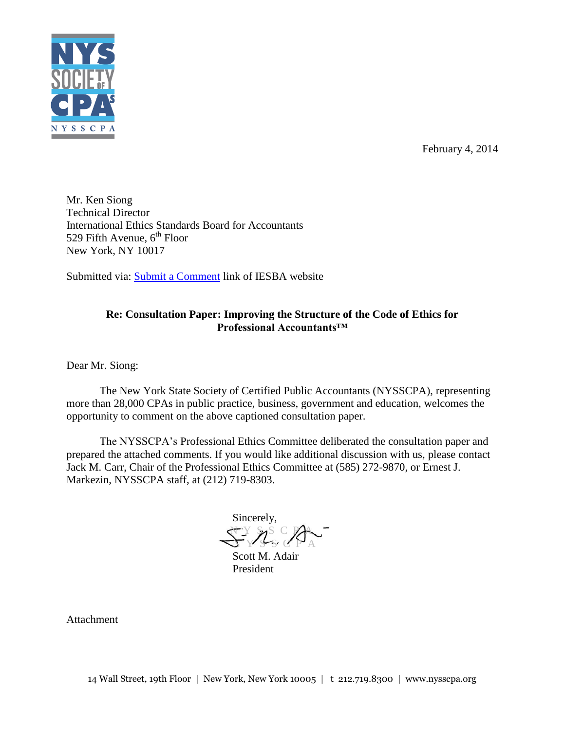

February 4, 2014

Mr. Ken Siong Technical Director International Ethics Standards Board for Accountants 529 Fifth Avenue,  $6<sup>th</sup>$  Floor New York, NY 10017

Submitted via: **Submit a Comment** link of IESBA website

# **Re: Consultation Paper: Improving the Structure of the Code of Ethics for Professional Accountants™**

Dear Mr. Siong:

The New York State Society of Certified Public Accountants (NYSSCPA), representing more than 28,000 CPAs in public practice, business, government and education, welcomes the opportunity to comment on the above captioned consultation paper.

The NYSSCPA's Professional Ethics Committee deliberated the consultation paper and prepared the attached comments. If you would like additional discussion with us, please contact Jack M. Carr, Chair of the Professional Ethics Committee at (585) 272-9870, or Ernest J. Markezin, NYSSCPA staff, at (212) 719-8303.

Sincerely,  $\alpha$  y s C PA N Y S S C P A

Scott M. Adair President

Attachment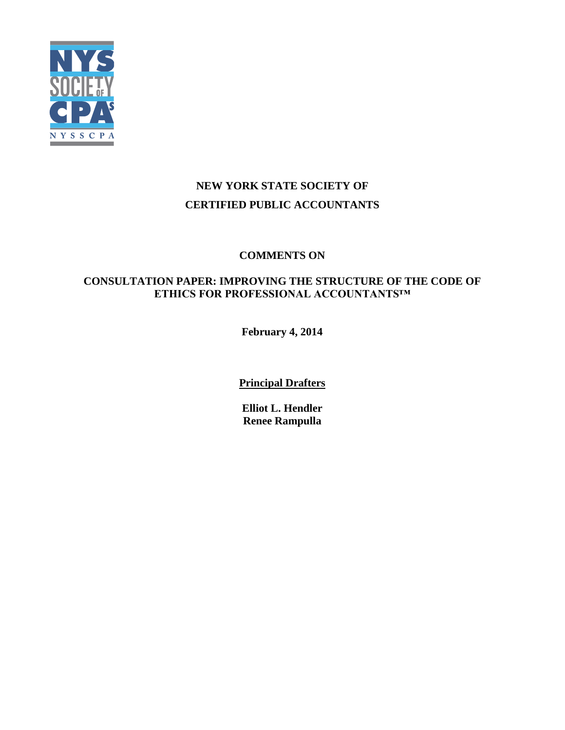

# **NEW YORK STATE SOCIETY OF CERTIFIED PUBLIC ACCOUNTANTS**

# **COMMENTS ON**

# **CONSULTATION PAPER: IMPROVING THE STRUCTURE OF THE CODE OF ETHICS FOR PROFESSIONAL ACCOUNTANTS™**

**February 4, 2014**

**Principal Drafters**

**Elliot L. Hendler Renee Rampulla**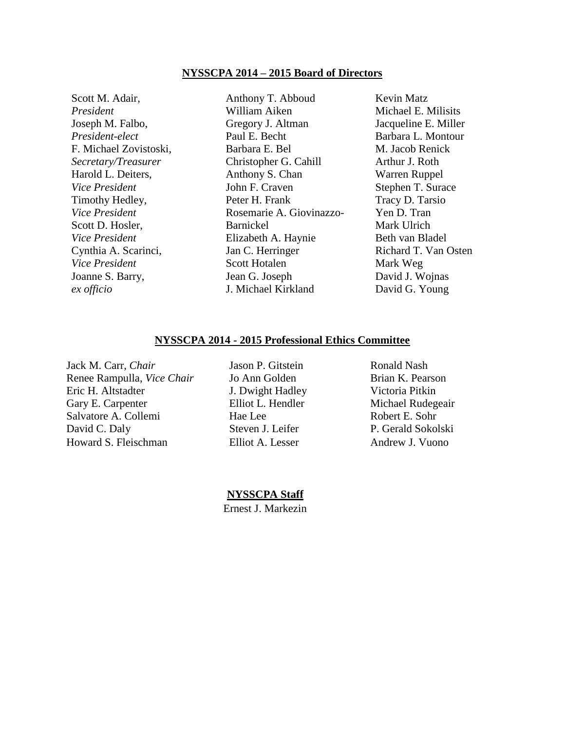#### **NYSSCPA 2014 – 2015 Board of Directors**

Scott M. Adair, *President* Joseph M. Falbo, *President-elect* F. Michael Zovistoski, *Secretary/Treasurer* Harold L. Deiters, *Vice President* Timothy Hedley, *Vice President* Scott D. Hosler, *Vice President* Cynthia A. Scarinci, *Vice President* Joanne S. Barry, *ex officio*

Anthony T. Abboud William Aiken Gregory J. Altman Paul E. Becht Barbara E. Bel Christopher G. Cahill Anthony S. Chan John F. Craven Peter H. Frank Rosemarie A. Giovinazzo-Barnickel Elizabeth A. Haynie Jan C. Herringer Scott Hotalen Jean G. Joseph J. Michael Kirkland

Kevin Matz Michael E. Milisits Jacqueline E. Miller Barbara L. Montour M. Jacob Renick Arthur J. Roth Warren Ruppel Stephen T. Surace Tracy D. Tarsio Yen D. Tran Mark Ulrich Beth van Bladel Richard T. Van Osten Mark Weg David J. Wojnas David G. Young

#### **NYSSCPA 2014 - 2015 Professional Ethics Committee**

Jack M. Carr, *Chair* **Jason P. Gitstein** Ronald Nash Renee Rampulla, *Vice Chair* Jo Ann Golden Brian K. Pearson Eric H. Altstadter J. Dwight Hadley Victoria Pitkin Gary E. Carpenter **Elliot L. Hendler** Michael Rudegeair Salvatore A. Collemi Hae Lee Robert E. Sohr David C. Daly Steven J. Leifer P. Gerald Sokolski Howard S. Fleischman Elliot A. Lesser Andrew J. Vuono

**NYSSCPA Staff**

Ernest J. Markezin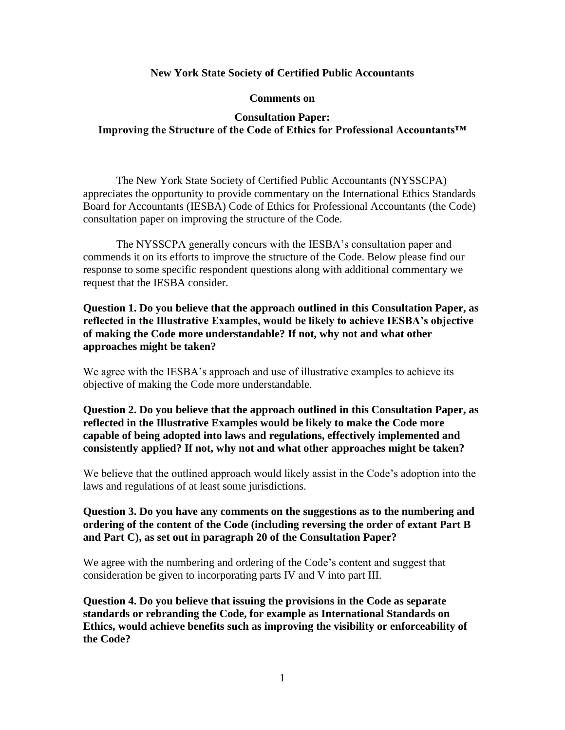### **New York State Society of Certified Public Accountants**

#### **Comments on**

## **Consultation Paper: Improving the Structure of the Code of Ethics for Professional Accountants™**

The New York State Society of Certified Public Accountants (NYSSCPA) appreciates the opportunity to provide commentary on the International Ethics Standards Board for Accountants (IESBA) Code of Ethics for Professional Accountants (the Code) consultation paper on improving the structure of the Code.

The NYSSCPA generally concurs with the IESBA's consultation paper and commends it on its efforts to improve the structure of the Code. Below please find our response to some specific respondent questions along with additional commentary we request that the IESBA consider.

**Question 1. Do you believe that the approach outlined in this Consultation Paper, as reflected in the Illustrative Examples, would be likely to achieve IESBA's objective of making the Code more understandable? If not, why not and what other approaches might be taken?**

We agree with the IESBA's approach and use of illustrative examples to achieve its objective of making the Code more understandable.

**Question 2. Do you believe that the approach outlined in this Consultation Paper, as reflected in the Illustrative Examples would be likely to make the Code more capable of being adopted into laws and regulations, effectively implemented and consistently applied? If not, why not and what other approaches might be taken?**

We believe that the outlined approach would likely assist in the Code's adoption into the laws and regulations of at least some jurisdictions.

### **Question 3. Do you have any comments on the suggestions as to the numbering and ordering of the content of the Code (including reversing the order of extant Part B and Part C), as set out in paragraph 20 of the Consultation Paper?**

We agree with the numbering and ordering of the Code's content and suggest that consideration be given to incorporating parts IV and V into part III.

**Question 4. Do you believe that issuing the provisions in the Code as separate standards or rebranding the Code, for example as International Standards on Ethics, would achieve benefits such as improving the visibility or enforceability of the Code?**